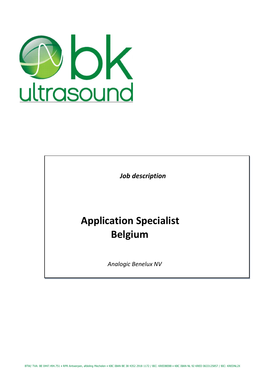

 *Job description*

# **Application Specialist Belgium**

*Analogic Benelux NV*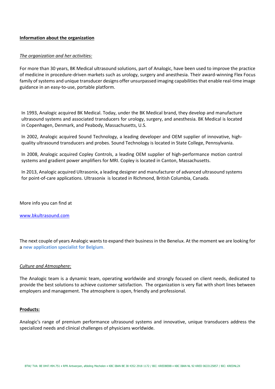# **Information about the organization**

# *The organization and her activities:*

For more than 30 years, BK Medical ultrasound solutions, part of Analogic, have been used to improve the practice of medicine in procedure-driven markets such as urology, surgery and anesthesia. Their award-winning Flex Focus family of systems and unique transducer designs offer unsurpassed imaging capabilities that enable real-time image guidance in an easy-to-use, portable platform.

In 1993, Analogic acquired BK Medical. Today, under the BK Medical brand, they develop and manufacture ultrasound systems and associated transducers for urology, surgery, and anesthesia. BK Medical is located in Copenhagen, Denmark, and Peabody, Massachusetts, U.S.

In 2002, Analogic acquired Sound Technology, a leading developer and OEM supplier of innovative, highquality ultrasound transducers and probes. Sound Technology is located in State College, Pennsylvania.

In 2008, Analogic acquired Copley Controls, a leading OEM supplier of high-performance motion control systems and gradient power amplifiers for MRI. Copley is located in Canton, Massachusetts.

In 2013, Analogic acquired Ultrasonix, a leading designer and manufacturer of advanced ultrasound systems for point-of-care applications. Ultrasonix is located in Richmond, British Columbia, Canada.

More info you can find at

[www.bkultrasound.com](http://www.bkultrasound.com/)

The next couple of years Analogic wants to expand their business in the Benelux. At the moment we are looking for a **new application specialist for Belgium**.

# *Culture and Atmosphere:*

The Analogic team is a dynamic team, operating worldwide and strongly focused on client needs, dedicated to provide the best solutions to achieve customer satisfaction. The organization is very flat with short lines between employers and management. The atmosphere is open, friendly and professional.

#### **Products:**

Analogic's range of premium performance ultrasound systems and innovative, unique transducers address the specialized needs and clinical challenges of physicians worldwide.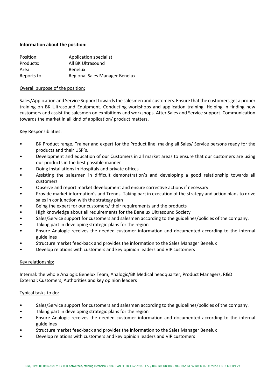# **Information about the position:**

| Position:   | <b>Application specialist</b>  |
|-------------|--------------------------------|
| Products:   | All BK Ultrasound              |
| Area:       | <b>Benelux</b>                 |
| Reports to: | Regional Sales Manager Benelux |

# Overall purpose of the position:

Sales/Application and Service Support towards the salesmen and customers. Ensure that the customers get a proper training on BK Ultrasound Equipment. Conducting workshops and application training. Helping in finding new customers and assist the salesmen on exhibitions and workshops. After Sales and Service support. Communication towards the market in all kind of application/ product matters.

# Key Responsibilities:

- BK Product range, Trainer and expert for the Product line. making all Sales/ Service persons ready for the products and their USP´s.
- Development and education of our Customers in all market areas to ensure that our customers are using our products in the best possible manner
- Doing installations in Hospitals and private offices
- Assisting the salesmen in difficult demonstration's and developing a good relationship towards all customers
- Observe and report market development and ensure corrective actions if necessary.
- Provide market information's and Trends. Taking part in execution of the strategy and action plans to drive sales in conjunction with the strategy plan
- Being the expert for our customers/ their requirements and the products
- High knowledge about all requirements for the Benelux Ultrasound Society
- Sales/Service support for customers and salesmen according to the guidelines/policies of the company.
- Taking part in developing strategic plans for the region
- Ensure Analogic receives the needed customer information and documented according to the internal guidelines
- Structure market feed-back and provides the information to the Sales Manager Benelux
- Develop relations with customers and key opinion leaders and VIP customers

# Key relationship:

Internal: the whole Analogic Benelux Team, Analogic/BK Medical headquarter, Product Managers, R&D External: Customers, Authorities and key opinion leaders

# Typical tasks to do:

- Sales/Service support for customers and salesmen according to the guidelines/policies of the company.
- Taking part in developing strategic plans for the region
- Ensure Analogic receives the needed customer information and documented according to the internal guidelines
- Structure market feed-back and provides the information to the Sales Manager Benelux
- Develop relations with customers and key opinion leaders and VIP customers